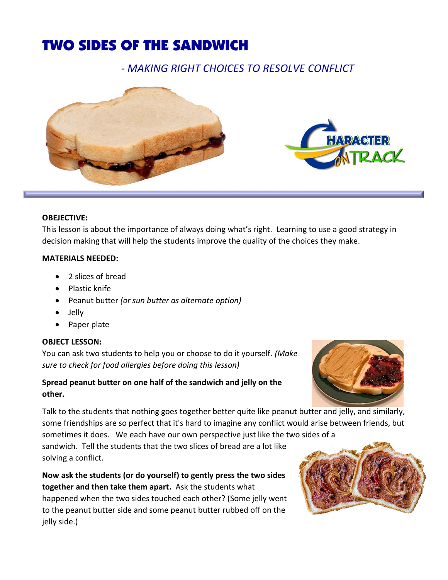# TWO SIDES OF THE SANDWICH

*- MAKING RIGHT CHOICES TO RESOLVE CONFLICT*



### **OBEJECTIVE:**

This lesson is about the importance of always doing what's right. Learning to use a good strategy in decision making that will help the students improve the quality of the choices they make.

### **MATERIALS NEEDED:**

- 2 slices of bread
- Plastic knife
- Peanut butter *(or sun butter as alternate option)*
- Jelly
- Paper plate

## **OBJECT LESSON:**

You can ask two students to help you or choose to do it yourself*. (Make sure to check for food allergies before doing this lesson)* 

# **Spread peanut butter on one half of the sandwich and jelly on the other.**

Talk to the students that nothing goes together better quite like peanut butter and jelly, and similarly, some friendships are so perfect that it's hard to imagine any conflict would arise between friends, but sometimes it does. We each have our own perspective just like the two sides of a

sandwich. Tell the students that the two slices of bread are a lot like solving a conflict.

**Now ask the students (or do yourself) to gently press the two sides together and then take them apart.** Ask the students what happened when the two sides touched each other? (Some jelly went to the peanut butter side and some peanut butter rubbed off on the jelly side.)



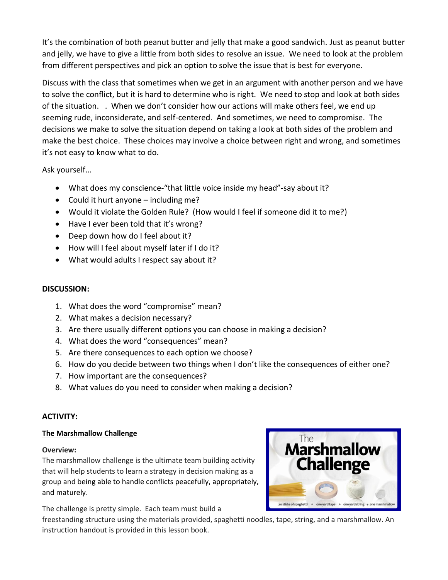It's the combination of both peanut butter and jelly that make a good sandwich. Just as peanut butter and jelly, we have to give a little from both sides to resolve an issue. We need to look at the problem from different perspectives and pick an option to solve the issue that is best for everyone.

Discuss with the class that sometimes when we get in an argument with another person and we have to solve the conflict, but it is hard to determine who is right. We need to stop and look at both sides of the situation. . When we don't consider how our actions will make others feel, we end up seeming rude, inconsiderate, and self-centered. And sometimes, we need to compromise. The decisions we make to solve the situation depend on taking a look at both sides of the problem and make the best choice. These choices may involve a choice between right and wrong, and sometimes it's not easy to know what to do.

Ask yourself…

- What does my conscience-"that little voice inside my head"-say about it?
- Could it hurt anyone including me?
- Would it violate the Golden Rule? (How would I feel if someone did it to me?)
- Have I ever been told that it's wrong?
- Deep down how do I feel about it?
- How will I feel about myself later if I do it?
- What would adults I respect say about it?

# **DISCUSSION:**

- 1. What does the word "compromise" mean?
- 2. What makes a decision necessary?
- 3. Are there usually different options you can choose in making a decision?
- 4. What does the word "consequences" mean?
- 5. Are there consequences to each option we choose?
- 6. How do you decide between two things when I don't like the consequences of either one?
- 7. How important are the consequences?
- 8. What values do you need to consider when making a decision?

## **ACTIVITY:**

## **The Marshmallow Challenge**

#### **Overview:**

The marshmallow challenge is the ultimate team building activity that will help students to learn a strategy in decision making as a group and being able to handle conflicts peacefully, appropriately, and maturely.

The challenge is pretty simple. Each team must build a

freestanding structure using the materials provided, spaghetti noodles, tape, string, and a marshmallow. An instruction handout is provided in this lesson book.